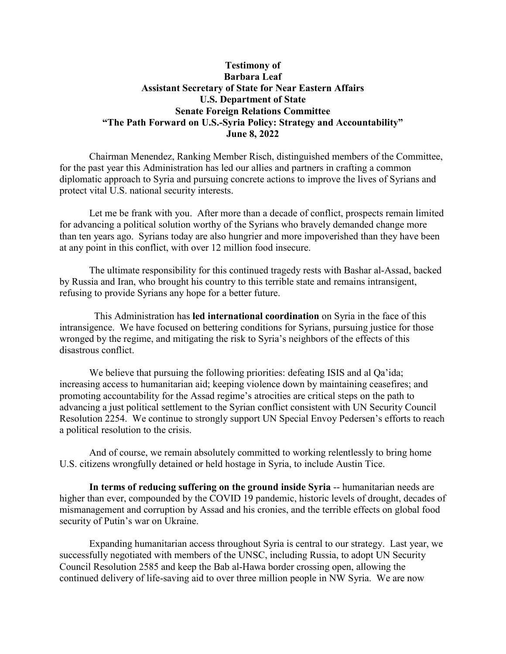## **Testimony of Barbara Leaf Assistant Secretary of State for Near Eastern Affairs U.S. Department of State Senate Foreign Relations Committee "The Path Forward on U.S.-Syria Policy: Strategy and Accountability" June 8, 2022**

Chairman Menendez, Ranking Member Risch, distinguished members of the Committee, for the past year this Administration has led our allies and partners in crafting a common diplomatic approach to Syria and pursuing concrete actions to improve the lives of Syrians and protect vital U.S. national security interests.

Let me be frank with you. After more than a decade of conflict, prospects remain limited for advancing a political solution worthy of the Syrians who bravely demanded change more than ten years ago. Syrians today are also hungrier and more impoverished than they have been at any point in this conflict, with over 12 million food insecure.

The ultimate responsibility for this continued tragedy rests with Bashar al-Assad, backed by Russia and Iran, who brought his country to this terrible state and remains intransigent, refusing to provide Syrians any hope for a better future.

 This Administration has **led international coordination** on Syria in the face of this intransigence. We have focused on bettering conditions for Syrians, pursuing justice for those wronged by the regime, and mitigating the risk to Syria's neighbors of the effects of this disastrous conflict.

We believe that pursuing the following priorities: defeating ISIS and al Qa'ida; increasing access to humanitarian aid; keeping violence down by maintaining ceasefires; and promoting accountability for the Assad regime's atrocities are critical steps on the path to advancing a just political settlement to the Syrian conflict consistent with UN Security Council Resolution 2254. We continue to strongly support UN Special Envoy Pedersen's efforts to reach a political resolution to the crisis.

And of course, we remain absolutely committed to working relentlessly to bring home U.S. citizens wrongfully detained or held hostage in Syria, to include Austin Tice.

**In terms of reducing suffering on the ground inside Syria** -- humanitarian needs are higher than ever, compounded by the COVID 19 pandemic, historic levels of drought, decades of mismanagement and corruption by Assad and his cronies, and the terrible effects on global food security of Putin's war on Ukraine.

Expanding humanitarian access throughout Syria is central to our strategy. Last year, we successfully negotiated with members of the UNSC, including Russia, to adopt UN Security Council Resolution 2585 and keep the Bab al-Hawa border crossing open, allowing the continued delivery of life-saving aid to over three million people in NW Syria. We are now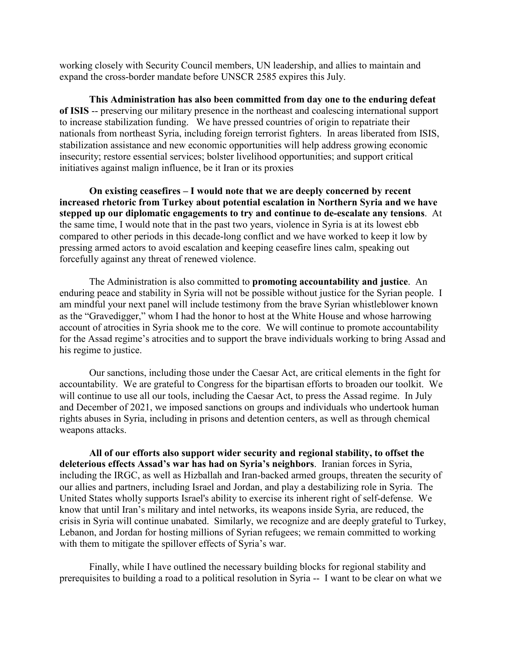working closely with Security Council members, UN leadership, and allies to maintain and expand the cross-border mandate before UNSCR 2585 expires this July.

**This Administration has also been committed from day one to the enduring defeat of ISIS** -- preserving our military presence in the northeast and coalescing international support to increase stabilization funding. We have pressed countries of origin to repatriate their nationals from northeast Syria, including foreign terrorist fighters. In areas liberated from ISIS, stabilization assistance and new economic opportunities will help address growing economic insecurity; restore essential services; bolster livelihood opportunities; and support critical initiatives against malign influence, be it Iran or its proxies

**On existing ceasefires – I would note that we are deeply concerned by recent increased rhetoric from Turkey about potential escalation in Northern Syria and we have stepped up our diplomatic engagements to try and continue to de-escalate any tensions**. At the same time, I would note that in the past two years, violence in Syria is at its lowest ebb compared to other periods in this decade-long conflict and we have worked to keep it low by pressing armed actors to avoid escalation and keeping ceasefire lines calm, speaking out forcefully against any threat of renewed violence.

The Administration is also committed to **promoting accountability and justice**. An enduring peace and stability in Syria will not be possible without justice for the Syrian people. I am mindful your next panel will include testimony from the brave Syrian whistleblower known as the "Gravedigger," whom I had the honor to host at the White House and whose harrowing account of atrocities in Syria shook me to the core. We will continue to promote accountability for the Assad regime's atrocities and to support the brave individuals working to bring Assad and his regime to justice.

Our sanctions, including those under the Caesar Act, are critical elements in the fight for accountability. We are grateful to Congress for the bipartisan efforts to broaden our toolkit. We will continue to use all our tools, including the Caesar Act, to press the Assad regime. In July and December of 2021, we imposed sanctions on groups and individuals who undertook human rights abuses in Syria, including in prisons and detention centers, as well as through chemical weapons attacks.

**All of our efforts also support wider security and regional stability, to offset the deleterious effects Assad's war has had on Syria's neighbors**. Iranian forces in Syria, including the IRGC, as well as Hizballah and Iran-backed armed groups, threaten the security of our allies and partners, including Israel and Jordan, and play a destabilizing role in Syria. The United States wholly supports Israel's ability to exercise its inherent right of self-defense. We know that until Iran's military and intel networks, its weapons inside Syria, are reduced, the crisis in Syria will continue unabated. Similarly, we recognize and are deeply grateful to Turkey, Lebanon, and Jordan for hosting millions of Syrian refugees; we remain committed to working with them to mitigate the spillover effects of Syria's war.

Finally, while I have outlined the necessary building blocks for regional stability and prerequisites to building a road to a political resolution in Syria -- I want to be clear on what we